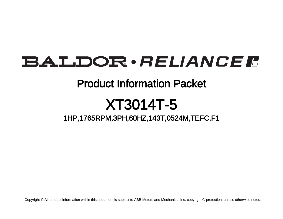## **BALDOR** · RELIANCE F

## Product Information Packet

# XT3014T-5

## 1HP,1765RPM,3PH,60HZ,143T,0524M,TEFC,F1

Copyright © All product information within this document is subject to ABB Motors and Mechanical Inc. copyright © protection, unless otherwise noted.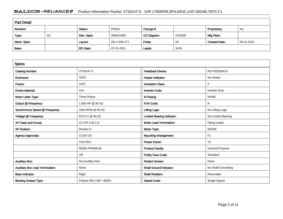### BALDOR · RELIANCE F Product Information Packet: XT3014T-5 - 1HP,1765RPM,3PH,60HZ,143T,0524M,TEFC,F1

| <b>Part Detail</b> |    |             |              |             |        |                      |            |  |
|--------------------|----|-------------|--------------|-------------|--------|----------------------|------------|--|
| Revision:          |    | Status:     | PRD/A        | Change #:   |        | Proprietary:         | No         |  |
| Type:              | AC | Elec. Spec: | 05WGX064     | CD Diagram: | CD0006 | Mfg Plant:           |            |  |
| Mech. Spec:        |    | Layout:     | 05LY-000-377 | Poles:      | 04     | <b>Created Date:</b> | 05-21-2021 |  |
| Base:              |    | Eff. Date:  | 07-01-2021   | Leads:      | 3#18   |                      |            |  |

| <b>Specs</b>                           |                         |                                  |                        |
|----------------------------------------|-------------------------|----------------------------------|------------------------|
| <b>Catalog Number:</b>                 | XT3014T-5               | <b>Feedback Device:</b>          | <b>NO FEEDBACK</b>     |
| Enclosure:                             | <b>TEFC</b>             | <b>Heater Indicator:</b>         | No Heater              |
| Frame:                                 | 143T                    | <b>Insulation Class:</b>         | F                      |
| <b>Frame Material:</b>                 | Iron                    | <b>Inverter Code:</b>            | <b>Inverter Duty</b>   |
| Motor Letter Type:                     | Three Phase             | IP Rating:                       | <b>NONE</b>            |
| Output @ Frequency:                    | 1.000 HP @ 60 HZ        | <b>KVA Code:</b>                 | N                      |
| Synchronous Speed @ Frequency:         | 1800 RPM @ 60 HZ        | <b>Lifting Lugs:</b>             | No Lifting Lugs        |
| Voltage @ Frequency:                   | 575.0 V @ 60 HZ         | <b>Locked Bearing Indicator:</b> | No Locked Bearing      |
| XP Class and Group:                    | CLI GP A, B, C, D       | <b>Motor Lead Termination:</b>   | <b>Flying Leads</b>    |
| <b>XP Division:</b>                    | Division II             | Motor Type:                      | 0524M                  |
| <b>Agency Approvals:</b>               | <b>CCSA US</b>          | <b>Mounting Arrangement:</b>     | F1                     |
|                                        | <b>CSA EEV</b>          | <b>Power Factor:</b>             | 70                     |
|                                        | <b>NEMA PREMIUM</b>     | <b>Product Family:</b>           | <b>General Purpose</b> |
|                                        | UR.                     | <b>Pulley Face Code:</b>         | Standard               |
| <b>Auxillary Box:</b>                  | No Auxillary Box        | Rodent Screen:                   | None                   |
| <b>Auxillary Box Lead Termination:</b> | None                    | <b>Shaft Ground Indicator:</b>   | No Shaft Grounding     |
| <b>Base Indicator:</b>                 | Rigid                   | <b>Shaft Rotation:</b>           | Reversible             |
| <b>Bearing Grease Type:</b>            | Polyrex EM (-20F +300F) | <b>Speed Code:</b>               | Single Speed           |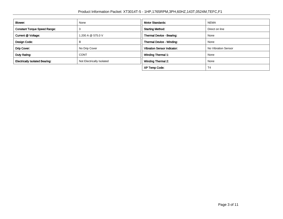| Blower:                               | None                      | <b>Motor Standards:</b>            | <b>NEMA</b>         |  |
|---------------------------------------|---------------------------|------------------------------------|---------------------|--|
| <b>Constant Torque Speed Range:</b>   |                           | <b>Starting Method:</b>            | Direct on line      |  |
| Current @ Voltage:                    | 1.200 A @ 575.0 V         | <b>Thermal Device - Bearing:</b>   | None                |  |
| Design Code:                          | в                         | Thermal Device - Winding:          | None                |  |
| Drip Cover:                           | No Drip Cover             | <b>Vibration Sensor Indicator:</b> | No Vibration Sensor |  |
| Duty Rating:                          | <b>CONT</b>               | <b>Winding Thermal 1:</b>          | None                |  |
| <b>Electrically Isolated Bearing:</b> | Not Electrically Isolated | <b>Winding Thermal 2:</b>          | None                |  |
|                                       |                           | <b>XP Temp Code:</b>               | T4                  |  |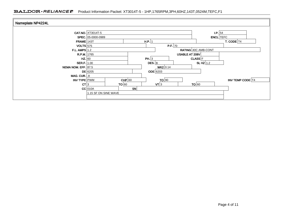| Nameplate NP4224L    |                          |           |                             |                   |                     |  |  |
|----------------------|--------------------------|-----------|-----------------------------|-------------------|---------------------|--|--|
|                      | <b>CAT.NO.</b> XT3014T-5 |           |                             | $\mathsf{LP.}$ 54 |                     |  |  |
|                      | SPEC. 05-0000-0989       |           |                             |                   | <b>ENCL</b> TEFC    |  |  |
| $FRAME$ 143T         |                          | $H.P.$ 1  |                             |                   | <b>T. CODE</b> $T4$ |  |  |
| $VOLTS$ 575          |                          |           | P.F. 70                     |                   |                     |  |  |
| F.L. AMPS $ 1.2$     |                          |           | RATING 40C AMB-CONT         |                   |                     |  |  |
| R.P.M. 1765          |                          |           |                             | USABLE AT 208V    |                     |  |  |
| $HZ.$ 60             |                          | PH. $ 3 $ |                             | <b>CLASS</b> F    |                     |  |  |
| <b>SER.F.</b> $1.00$ |                          |           | $DES.$ B                    | SLHZ $1.2$        |                     |  |  |
| NEMA NOM. EFF. 87.5  |                          |           | $WK2$ 0.14                  |                   |                     |  |  |
|                      | $DE$ 6205                |           | <b>ODE</b> 6203             |                   |                     |  |  |
| MAG. CUR. $.8$       |                          |           |                             |                   |                     |  |  |
| INV TYPE PWM         |                          | $CHP$ 60  | TO 90                       |                   | INV TEMP CODE   T4  |  |  |
| CT 3                 | TO 60                    |           | $\mathsf{V} \mathsf{T}   3$ | TO 60             |                     |  |  |
|                      | $CC$ 010A                | SN        |                             |                   |                     |  |  |
|                      | 1.15 SF ON SINE WAVE     |           |                             |                   |                     |  |  |
|                      |                          |           |                             |                   |                     |  |  |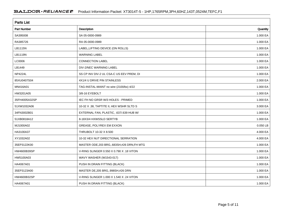| <b>Parts List</b>  |                                             |            |  |  |  |  |
|--------------------|---------------------------------------------|------------|--|--|--|--|
| <b>Part Number</b> | Description                                 | Quantity   |  |  |  |  |
| SA395008           | SA 05-0000-0989                             | 1.000 EA   |  |  |  |  |
| RA385726           | RA 05-0000-0989                             | 1.000 EA   |  |  |  |  |
| LB1115N            | LABEL, LIFTING DEVICE (ON ROLLS)            | 1.000 EA   |  |  |  |  |
| LB1119N            | <b>WARNING LABEL</b>                        | 1.000 EA   |  |  |  |  |
| LC0006             | <b>CONNECTION LABEL</b>                     | 1.000 EA   |  |  |  |  |
| LB1449             | DIV-2/NEC WARNING LABEL                     | 1.000 EA   |  |  |  |  |
| <b>NP4224L</b>     | SS CP INV DIV-2 UL CSA-C US EEV PREM, DI    | 1.000 EA   |  |  |  |  |
| 85XU0407S04        | 4X1/4 U DRIVE PIN STAINLESS                 | 2.000 EA   |  |  |  |  |
| MN416A01           | TAG-INSTAL-MAINT no wire (2100/bx) 4/22     | 1.000 EA   |  |  |  |  |
| HW3201A05          | 3/8-16 EYEBOLT                              | 1.000 EA   |  |  |  |  |
| 35FH4005A32SP      | IEC FH NO GRSR W/3 HOLES - PRIMED           | 1.000 EA   |  |  |  |  |
| 51XW1032A06        | 10-32 X .38, TAPTITE II, HEX WSHR SLTD S    | 3.000 EA   |  |  |  |  |
| 34FN3002B01        | EXTERNAL FAN, PLASTIC, .637/.639 HUB W/     | 1.000 EA   |  |  |  |  |
| 51XB0818A12        | 8-18X3/4 HXWSSLD SERTYB                     | 1.000 EA   |  |  |  |  |
| MJ1000A02          | GREASE, POLYREX EM EXXON                    | $0.050$ LB |  |  |  |  |
| HA3100A37          | THRUBOLT 10-32 X 8.500                      | 4.000 EA   |  |  |  |  |
| XY1032A02          | 10-32 HEX NUT DIRECTIONAL SERRATION         | 4.000 EA   |  |  |  |  |
| 35EP3122K00        | MASTER ODE, 203 BRG, 683SH, #26 DRN, FH MTG | 1.000 EA   |  |  |  |  |
| HW4600B39SP        | V-RING SLINGER 0.550 X 0.790 X .18 VITON    | 1.000 EA   |  |  |  |  |
| HW5100A03          | WAVY WASHER (W1543-017)                     | 1.000 EA   |  |  |  |  |
| HA4067A01          | PUSH IN DRAIN FITTING (BLACK)               | 1.000 EA   |  |  |  |  |
| 35EP3123A00        | MASTER DE, 205 BRG, 998SH, #26 DRN          | 1.000 EA   |  |  |  |  |
| HW4600B32SP        | V-RING SLINGER 1.000 X 1.540 X .24 VITON    | 1.000 EA   |  |  |  |  |
| HA4067A01          | PUSH IN DRAIN FITTING (BLACK)               | 1.000 EA   |  |  |  |  |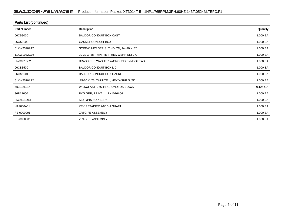| Parts List (continued) |                                          |          |  |  |  |  |
|------------------------|------------------------------------------|----------|--|--|--|--|
| Part Number            | Description                              | Quantity |  |  |  |  |
| 06CB3000               | <b>BALDOR CONDUIT BOX CAST</b>           | 1.000 EA |  |  |  |  |
| 06GS1000               | GASKET, CONDUIT BOX                      | 1.000 EA |  |  |  |  |
| 51XW2520A12            | SCREW, HEX SER SLT HD, ZN, 1/4-20 X .75  | 2.000 EA |  |  |  |  |
| 11XW1032G06            | 10-32 X .38, TAPTITE II, HEX WSHR SLTD U | 1.000 EA |  |  |  |  |
| HW3001B02              | BRASS CUP WASHER W/GROUND SYMBOL TAB,    | 1.000 EA |  |  |  |  |
| 06CB3500               | <b>BALDOR CONDUIT BOX LID</b>            | 1.000 EA |  |  |  |  |
| 06GS1001               | <b>BALDOR CONDUIT BOX GASKET</b>         | 1.000 EA |  |  |  |  |
| 51XW2520A12            | .25-20 X .75, TAPTITE II, HEX WSHR SLTD  | 2.000 EA |  |  |  |  |
| MG1025L14              | WILKOFAST, 776.14, GRUNDFOS BLACK        | 0.125 GA |  |  |  |  |
| 36PA1000               | PKG GRP, PRINT<br>PK1016A06              | 1.000 EA |  |  |  |  |
| HW2501D13              | KEY, 3/16 SQ X 1.375                     | 1.000 EA |  |  |  |  |
| HA7000A01              | KEY RETAINER 7/8" DIA SHAFT              | 1.000 EA |  |  |  |  |
| FE-0000001             | <b>ZRTG FE ASSEMBLY</b>                  | 1.000 EA |  |  |  |  |
| PE-0000001             | <b>ZRTG PE ASSEMBLY</b>                  | 1.000 EA |  |  |  |  |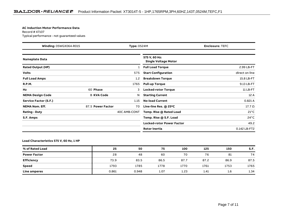#### **AC Induction Motor Performance Data**

Record # 47107Typical performance - not guaranteed values

| <b>Winding: 05WGX064-R015</b><br><b>Type: 0524M</b> |                   | <b>Enclosure: TEFC</b> |                                              |                |
|-----------------------------------------------------|-------------------|------------------------|----------------------------------------------|----------------|
| <b>Nameplate Data</b>                               |                   |                        | 575 V, 60 Hz:<br><b>Single Voltage Motor</b> |                |
| <b>Rated Output (HP)</b>                            |                   |                        | <b>Full Load Torque</b>                      | 2.99 LB-FT     |
| <b>Volts</b>                                        |                   | 575                    | <b>Start Configuration</b>                   | direct on line |
| <b>Full Load Amps</b>                               |                   | 1.2                    | <b>Breakdown Torque</b>                      | 15.8 LB-FT     |
| <b>R.P.M.</b>                                       |                   | 1765                   | <b>Pull-up Torque</b>                        | 9.13 LB-FT     |
| Hz                                                  | 60 Phase          | 3                      | <b>Locked-rotor Torque</b>                   | 11 LB-FT       |
| <b>NEMA Design Code</b>                             | <b>B KVA Code</b> | N                      | <b>Starting Current</b>                      | 12 A           |
| <b>Service Factor (S.F.)</b>                        |                   | 1.15                   | <b>No-load Current</b>                       | 0.821 A        |
| <b>NEMA Nom. Eff.</b>                               | 87.5 Power Factor | 70                     | Line-line Res. @ 25°C                        | $17.7\ \Omega$ |
| <b>Rating - Duty</b>                                |                   | 40C AMB-CONT           | Temp. Rise @ Rated Load                      | $21^{\circ}$ C |
| S.F. Amps                                           |                   |                        | Temp. Rise @ S.F. Load                       | $24^{\circ}$ C |
|                                                     |                   |                        | <b>Locked-rotor Power Factor</b>             | 49.2           |
|                                                     |                   |                        | <b>Rotor inertia</b>                         | 0.142 LB-FT2   |

### **Load Characteristics 575 V, 60 Hz, 1 HP**

| % of Rated Load     | 25    | 50    | 75   | 100  | 125  | 150  | S.F. |
|---------------------|-------|-------|------|------|------|------|------|
| <b>Power Factor</b> | 28    | 48    | 60   | 70   | 76   | 81   | 74   |
| <b>Efficiency</b>   | 73.9  | 83.5  | 86.5 | 87.7 | 87.2 | 86.9 | 87.5 |
| <b>Speed</b>        | 1793  | 1785  | 1778 | 1770 | 1761 | 1753 | 1765 |
| Line amperes        | 0.861 | 0.948 | 1.07 | 1.23 | 1.41 | 1.6  | 1.34 |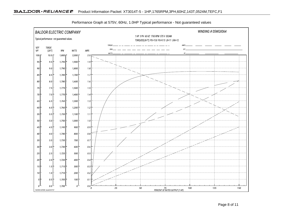

Performance Graph at 575V, 60Hz, 1.0HP Typical performance - Not guaranteed values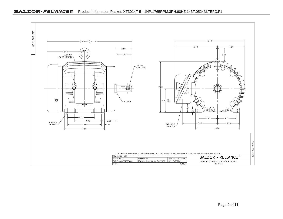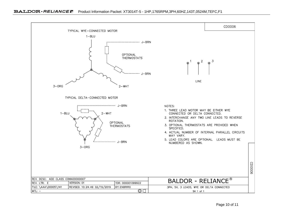